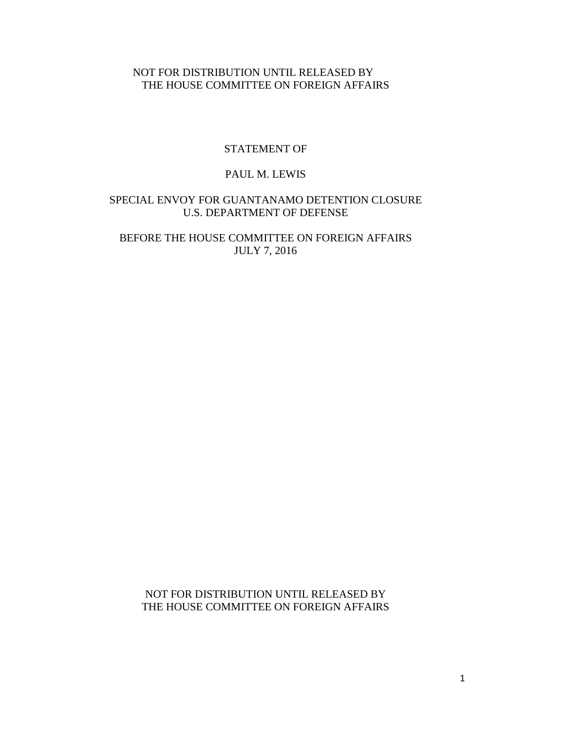# NOT FOR DISTRIBUTION UNTIL RELEASED BY THE HOUSE COMMITTEE ON FOREIGN AFFAIRS

## STATEMENT OF

## PAUL M. LEWIS

# SPECIAL ENVOY FOR GUANTANAMO DETENTION CLOSURE U.S. DEPARTMENT OF DEFENSE

# BEFORE THE HOUSE COMMITTEE ON FOREIGN AFFAIRS JULY 7, 2016

NOT FOR DISTRIBUTION UNTIL RELEASED BY THE HOUSE COMMITTEE ON FOREIGN AFFAIRS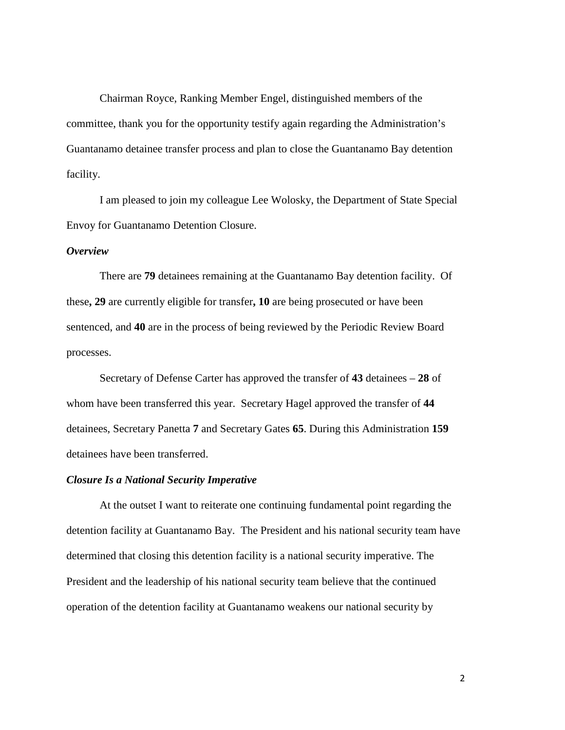Chairman Royce, Ranking Member Engel, distinguished members of the committee, thank you for the opportunity testify again regarding the Administration's Guantanamo detainee transfer process and plan to close the Guantanamo Bay detention facility.

I am pleased to join my colleague Lee Wolosky, the Department of State Special Envoy for Guantanamo Detention Closure.

#### *Overview*

There are **79** detainees remaining at the Guantanamo Bay detention facility. Of these**, 29** are currently eligible for transfer**, 10** are being prosecuted or have been sentenced, and **40** are in the process of being reviewed by the Periodic Review Board processes.

Secretary of Defense Carter has approved the transfer of **43** detainees – **28** of whom have been transferred this year. Secretary Hagel approved the transfer of **44** detainees, Secretary Panetta **7** and Secretary Gates **65**. During this Administration **159** detainees have been transferred.

### *Closure Is a National Security Imperative*

At the outset I want to reiterate one continuing fundamental point regarding the detention facility at Guantanamo Bay. The President and his national security team have determined that closing this detention facility is a national security imperative. The President and the leadership of his national security team believe that the continued operation of the detention facility at Guantanamo weakens our national security by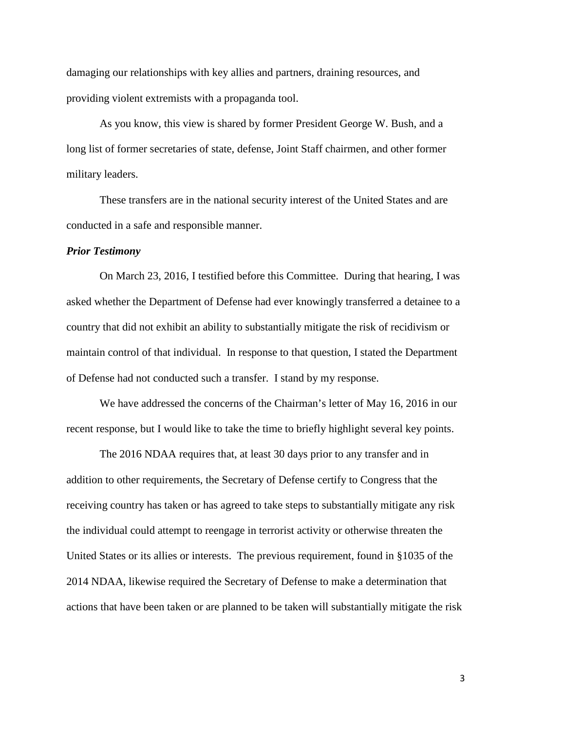damaging our relationships with key allies and partners, draining resources, and providing violent extremists with a propaganda tool.

As you know, this view is shared by former President George W. Bush, and a long list of former secretaries of state, defense, Joint Staff chairmen, and other former military leaders.

These transfers are in the national security interest of the United States and are conducted in a safe and responsible manner.

#### *Prior Testimony*

On March 23, 2016, I testified before this Committee. During that hearing, I was asked whether the Department of Defense had ever knowingly transferred a detainee to a country that did not exhibit an ability to substantially mitigate the risk of recidivism or maintain control of that individual. In response to that question, I stated the Department of Defense had not conducted such a transfer. I stand by my response.

We have addressed the concerns of the Chairman's letter of May 16, 2016 in our recent response, but I would like to take the time to briefly highlight several key points.

The 2016 NDAA requires that, at least 30 days prior to any transfer and in addition to other requirements, the Secretary of Defense certify to Congress that the receiving country has taken or has agreed to take steps to substantially mitigate any risk the individual could attempt to reengage in terrorist activity or otherwise threaten the United States or its allies or interests. The previous requirement, found in §1035 of the 2014 NDAA, likewise required the Secretary of Defense to make a determination that actions that have been taken or are planned to be taken will substantially mitigate the risk

3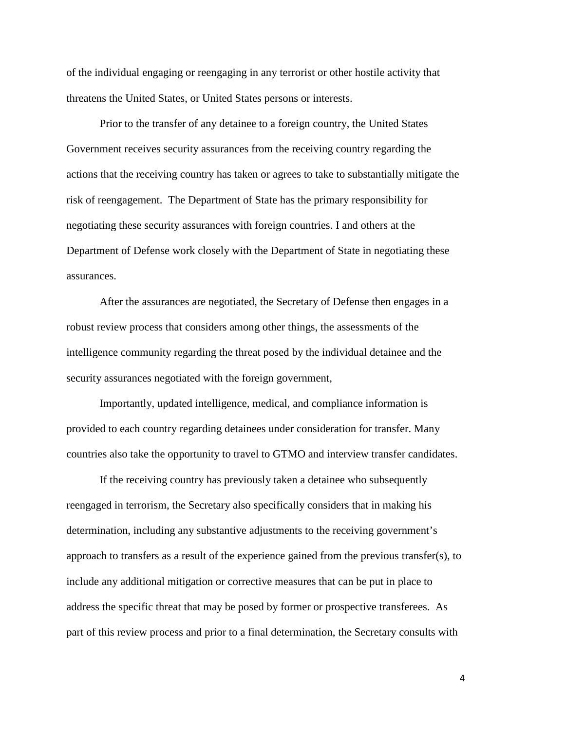of the individual engaging or reengaging in any terrorist or other hostile activity that threatens the United States, or United States persons or interests.

Prior to the transfer of any detainee to a foreign country, the United States Government receives security assurances from the receiving country regarding the actions that the receiving country has taken or agrees to take to substantially mitigate the risk of reengagement. The Department of State has the primary responsibility for negotiating these security assurances with foreign countries. I and others at the Department of Defense work closely with the Department of State in negotiating these assurances.

After the assurances are negotiated, the Secretary of Defense then engages in a robust review process that considers among other things, the assessments of the intelligence community regarding the threat posed by the individual detainee and the security assurances negotiated with the foreign government,

Importantly, updated intelligence, medical, and compliance information is provided to each country regarding detainees under consideration for transfer. Many countries also take the opportunity to travel to GTMO and interview transfer candidates.

If the receiving country has previously taken a detainee who subsequently reengaged in terrorism, the Secretary also specifically considers that in making his determination, including any substantive adjustments to the receiving government's approach to transfers as a result of the experience gained from the previous transfer(s), to include any additional mitigation or corrective measures that can be put in place to address the specific threat that may be posed by former or prospective transferees. As part of this review process and prior to a final determination, the Secretary consults with

4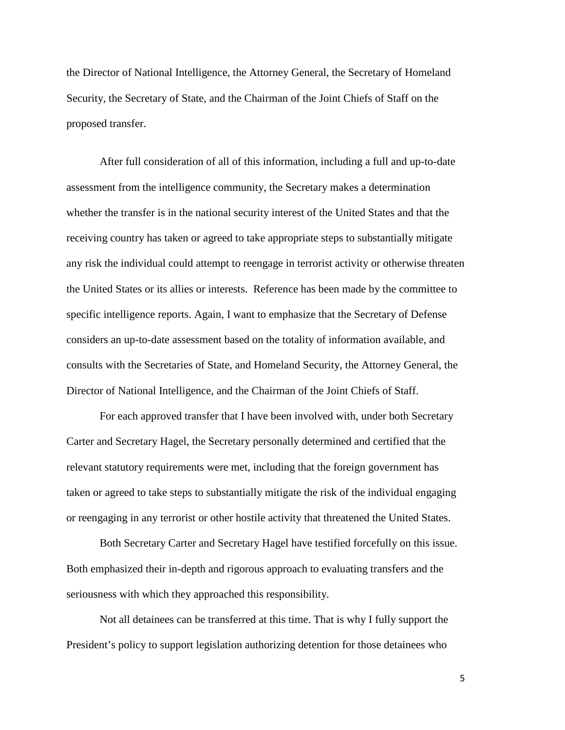the Director of National Intelligence, the Attorney General, the Secretary of Homeland Security, the Secretary of State, and the Chairman of the Joint Chiefs of Staff on the proposed transfer.

After full consideration of all of this information, including a full and up-to-date assessment from the intelligence community, the Secretary makes a determination whether the transfer is in the national security interest of the United States and that the receiving country has taken or agreed to take appropriate steps to substantially mitigate any risk the individual could attempt to reengage in terrorist activity or otherwise threaten the United States or its allies or interests. Reference has been made by the committee to specific intelligence reports. Again, I want to emphasize that the Secretary of Defense considers an up-to-date assessment based on the totality of information available, and consults with the Secretaries of State, and Homeland Security, the Attorney General, the Director of National Intelligence, and the Chairman of the Joint Chiefs of Staff.

For each approved transfer that I have been involved with, under both Secretary Carter and Secretary Hagel, the Secretary personally determined and certified that the relevant statutory requirements were met, including that the foreign government has taken or agreed to take steps to substantially mitigate the risk of the individual engaging or reengaging in any terrorist or other hostile activity that threatened the United States.

Both Secretary Carter and Secretary Hagel have testified forcefully on this issue. Both emphasized their in-depth and rigorous approach to evaluating transfers and the seriousness with which they approached this responsibility.

Not all detainees can be transferred at this time. That is why I fully support the President's policy to support legislation authorizing detention for those detainees who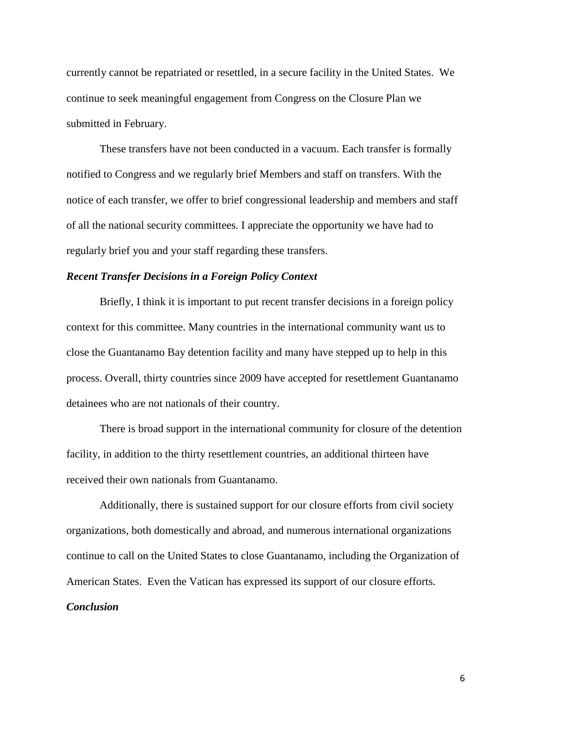currently cannot be repatriated or resettled, in a secure facility in the United States. We continue to seek meaningful engagement from Congress on the Closure Plan we submitted in February.

These transfers have not been conducted in a vacuum. Each transfer is formally notified to Congress and we regularly brief Members and staff on transfers. With the notice of each transfer, we offer to brief congressional leadership and members and staff of all the national security committees. I appreciate the opportunity we have had to regularly brief you and your staff regarding these transfers.

## *Recent Transfer Decisions in a Foreign Policy Context*

Briefly, I think it is important to put recent transfer decisions in a foreign policy context for this committee. Many countries in the international community want us to close the Guantanamo Bay detention facility and many have stepped up to help in this process. Overall, thirty countries since 2009 have accepted for resettlement Guantanamo detainees who are not nationals of their country.

There is broad support in the international community for closure of the detention facility, in addition to the thirty resettlement countries, an additional thirteen have received their own nationals from Guantanamo.

Additionally, there is sustained support for our closure efforts from civil society organizations, both domestically and abroad, and numerous international organizations continue to call on the United States to close Guantanamo, including the Organization of American States. Even the Vatican has expressed its support of our closure efforts. *Conclusion*